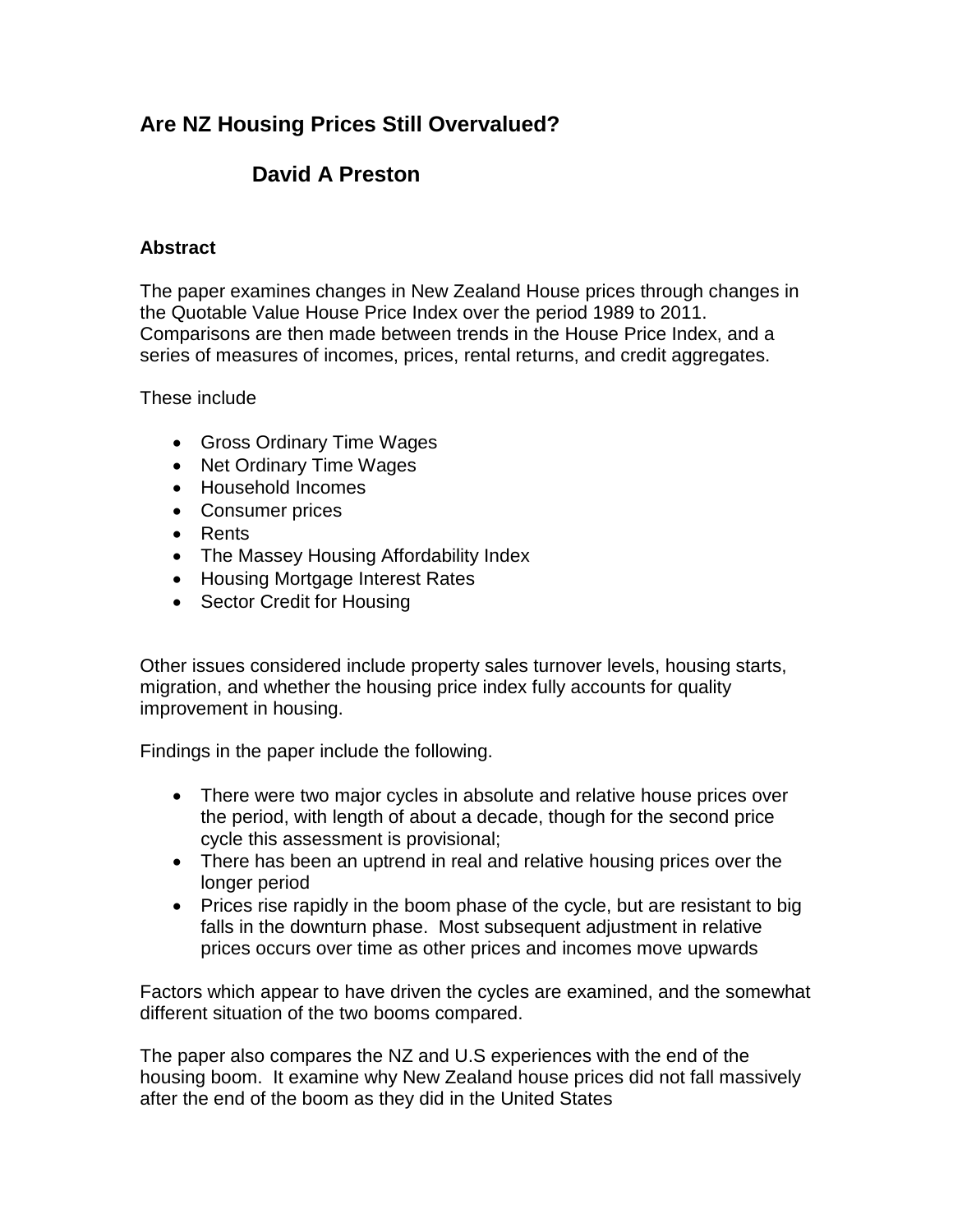## **Are NZ Housing Prices Still Overvalued?**

## **David A Preston**

## **Abstract**

The paper examines changes in New Zealand House prices through changes in the Quotable Value House Price Index over the period 1989 to 2011. Comparisons are then made between trends in the House Price Index, and a series of measures of incomes, prices, rental returns, and credit aggregates.

These include

- Gross Ordinary Time Wages
- Net Ordinary Time Wages
- Household Incomes
- Consumer prices
- Rents
- The Massey Housing Affordability Index
- Housing Mortgage Interest Rates
- Sector Credit for Housing

Other issues considered include property sales turnover levels, housing starts, migration, and whether the housing price index fully accounts for quality improvement in housing.

Findings in the paper include the following.

- There were two major cycles in absolute and relative house prices over the period, with length of about a decade, though for the second price cycle this assessment is provisional;
- There has been an uptrend in real and relative housing prices over the longer period
- Prices rise rapidly in the boom phase of the cycle, but are resistant to big falls in the downturn phase. Most subsequent adjustment in relative prices occurs over time as other prices and incomes move upwards

Factors which appear to have driven the cycles are examined, and the somewhat different situation of the two booms compared.

The paper also compares the NZ and U.S experiences with the end of the housing boom. It examine why New Zealand house prices did not fall massively after the end of the boom as they did in the United States